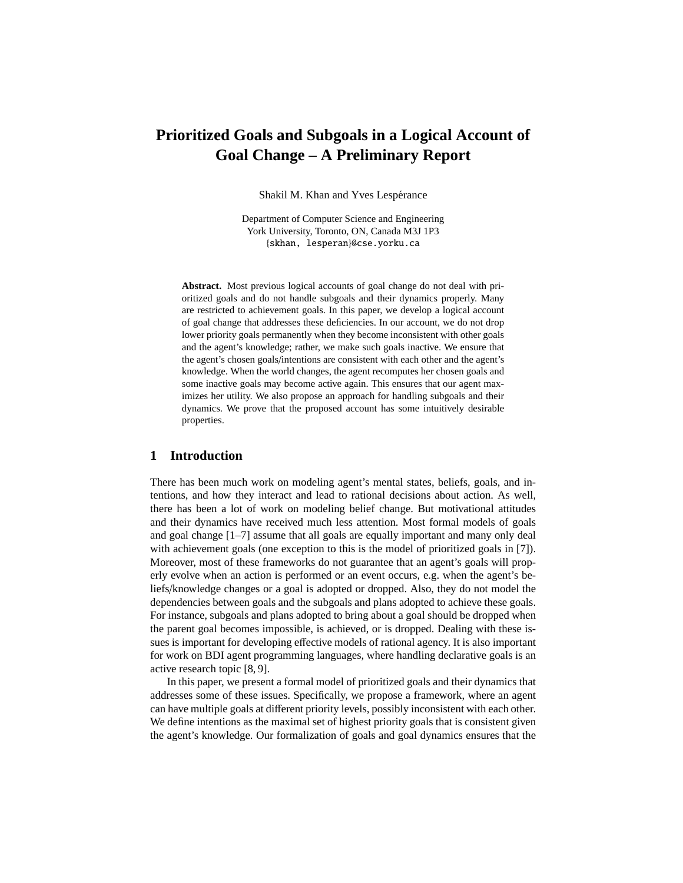# **Prioritized Goals and Subgoals in a Logical Account of Goal Change – A Preliminary Report**

Shakil M. Khan and Yves Lespérance

Department of Computer Science and Engineering York University, Toronto, ON, Canada M3J 1P3 {skhan, lesperan}@cse.yorku.ca

**Abstract.** Most previous logical accounts of goal change do not deal with prioritized goals and do not handle subgoals and their dynamics properly. Many are restricted to achievement goals. In this paper, we develop a logical account of goal change that addresses these deficiencies. In our account, we do not drop lower priority goals permanently when they become inconsistent with other goals and the agent's knowledge; rather, we make such goals inactive. We ensure that the agent's chosen goals/intentions are consistent with each other and the agent's knowledge. When the world changes, the agent recomputes her chosen goals and some inactive goals may become active again. This ensures that our agent maximizes her utility. We also propose an approach for handling subgoals and their dynamics. We prove that the proposed account has some intuitively desirable properties.

### **1 Introduction**

There has been much work on modeling agent's mental states, beliefs, goals, and intentions, and how they interact and lead to rational decisions about action. As well, there has been a lot of work on modeling belief change. But motivational attitudes and their dynamics have received much less attention. Most formal models of goals and goal change [1–7] assume that all goals are equally important and many only deal with achievement goals (one exception to this is the model of prioritized goals in [7]). Moreover, most of these frameworks do not guarantee that an agent's goals will properly evolve when an action is performed or an event occurs, e.g. when the agent's beliefs/knowledge changes or a goal is adopted or dropped. Also, they do not model the dependencies between goals and the subgoals and plans adopted to achieve these goals. For instance, subgoals and plans adopted to bring about a goal should be dropped when the parent goal becomes impossible, is achieved, or is dropped. Dealing with these issues is important for developing effective models of rational agency. It is also important for work on BDI agent programming languages, where handling declarative goals is an active research topic [8, 9].

In this paper, we present a formal model of prioritized goals and their dynamics that addresses some of these issues. Specifically, we propose a framework, where an agent can have multiple goals at different priority levels, possibly inconsistent with each other. We define intentions as the maximal set of highest priority goals that is consistent given the agent's knowledge. Our formalization of goals and goal dynamics ensures that the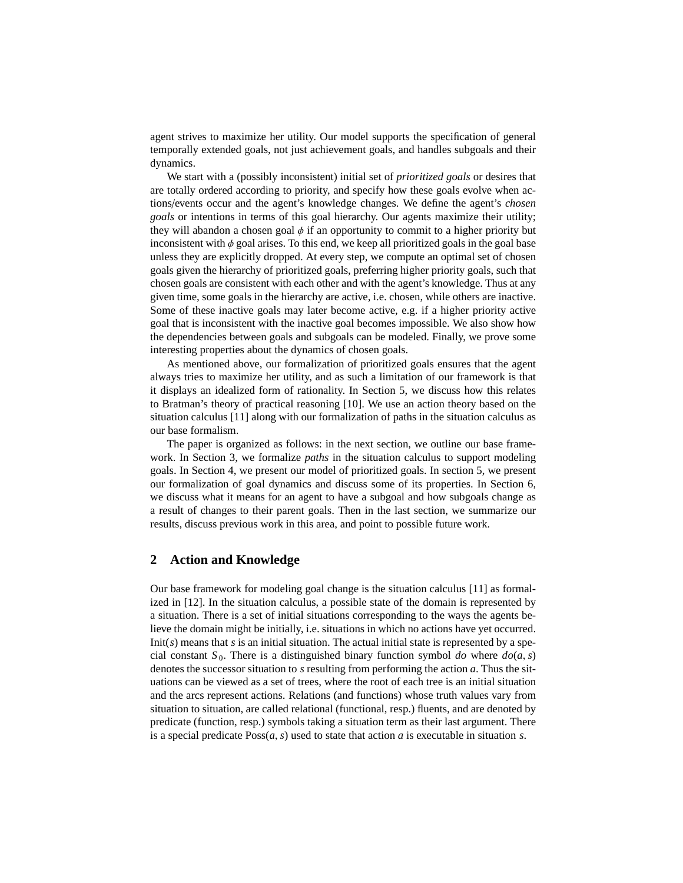agent strives to maximize her utility. Our model supports the specification of general temporally extended goals, not just achievement goals, and handles subgoals and their dynamics.

We start with a (possibly inconsistent) initial set of *prioritized goals* or desires that are totally ordered according to priority, and specify how these goals evolve when actions/events occur and the agent's knowledge changes. We define the agent's *chosen goals* or intentions in terms of this goal hierarchy. Our agents maximize their utility; they will abandon a chosen goal  $\phi$  if an opportunity to commit to a higher priority but inconsistent with  $\phi$  goal arises. To this end, we keep all prioritized goals in the goal base unless they are explicitly dropped. At every step, we compute an optimal set of chosen goals given the hierarchy of prioritized goals, preferring higher priority goals, such that chosen goals are consistent with each other and with the agent's knowledge. Thus at any given time, some goals in the hierarchy are active, i.e. chosen, while others are inactive. Some of these inactive goals may later become active, e.g. if a higher priority active goal that is inconsistent with the inactive goal becomes impossible. We also show how the dependencies between goals and subgoals can be modeled. Finally, we prove some interesting properties about the dynamics of chosen goals.

As mentioned above, our formalization of prioritized goals ensures that the agent always tries to maximize her utility, and as such a limitation of our framework is that it displays an idealized form of rationality. In Section 5, we discuss how this relates to Bratman's theory of practical reasoning [10]. We use an action theory based on the situation calculus [11] along with our formalization of paths in the situation calculus as our base formalism.

The paper is organized as follows: in the next section, we outline our base framework. In Section 3, we formalize *paths* in the situation calculus to support modeling goals. In Section 4, we present our model of prioritized goals. In section 5, we present our formalization of goal dynamics and discuss some of its properties. In Section 6, we discuss what it means for an agent to have a subgoal and how subgoals change as a result of changes to their parent goals. Then in the last section, we summarize our results, discuss previous work in this area, and point to possible future work.

# **2 Action and Knowledge**

Our base framework for modeling goal change is the situation calculus [11] as formalized in [12]. In the situation calculus, a possible state of the domain is represented by a situation. There is a set of initial situations corresponding to the ways the agents believe the domain might be initially, i.e. situations in which no actions have yet occurred.  $Init(s)$  means that  $s$  is an initial situation. The actual initial state is represented by a special constant  $S_0$ . There is a distinguished binary function symbol *do* where  $do(a, s)$ denotes the successor situation to *s* resulting from performing the action *a*. Thus the situations can be viewed as a set of trees, where the root of each tree is an initial situation and the arcs represent actions. Relations (and functions) whose truth values vary from situation to situation, are called relational (functional, resp.) fluents, and are denoted by predicate (function, resp.) symbols taking a situation term as their last argument. There is a special predicate Poss(*a*, *s*) used to state that action *a* is executable in situation *s*.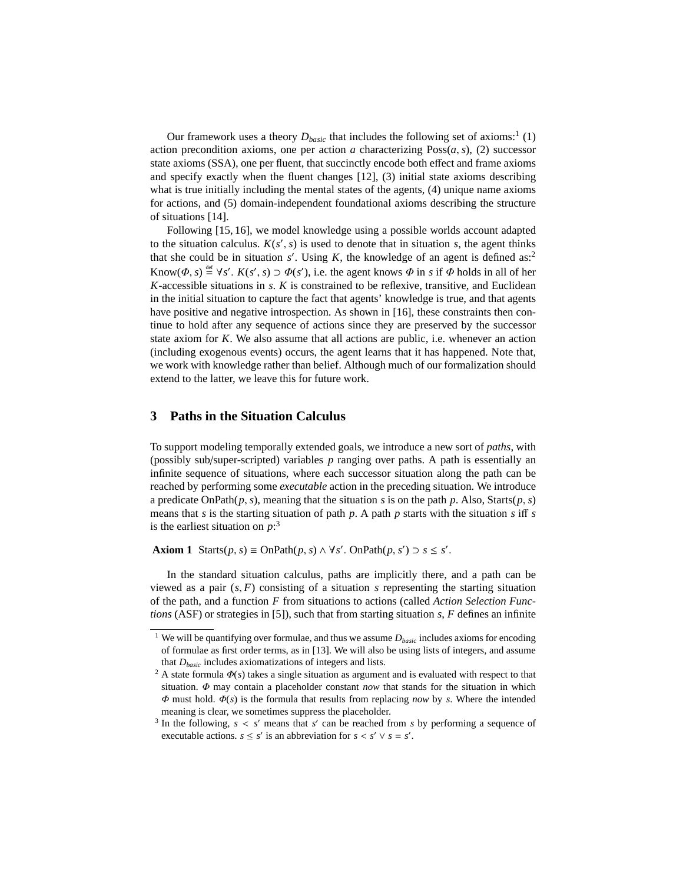Our framework uses a theory  $D_{basic}$  that includes the following set of axioms:<sup>1</sup> (1) action precondition axioms, one per action *a* characterizing  $Poss(a, s)$ , (2) successor state axioms (SSA), one per fluent, that succinctly encode both effect and frame axioms and specify exactly when the fluent changes [12], (3) initial state axioms describing what is true initially including the mental states of the agents, (4) unique name axioms for actions, and (5) domain-independent foundational axioms describing the structure of situations [14].

Following [15, 16], we model knowledge using a possible worlds account adapted to the situation calculus.  $K(s', s)$  is used to denote that in situation  $s$ , the agent thinks that she could be in situation  $s'$ . Using  $K$ , the knowledge of an agent is defined as:<sup>2</sup> Know $(\Phi, s) \stackrel{\text{def}}{=} \forall s'$ .  $K(s', s) \supset \Phi(s')$ , i.e. the agent knows  $\Phi$  in *s* if  $\Phi$  holds in all of her *K*-accessible situations in *s*. *K* is constrained to be reflexive, transitive, and Euclidean in the initial situation to capture the fact that agents' knowledge is true, and that agents have positive and negative introspection. As shown in [16], these constraints then continue to hold after any sequence of actions since they are preserved by the successor state axiom for *K*. We also assume that all actions are public, i.e. whenever an action (including exogenous events) occurs, the agent learns that it has happened. Note that, we work with knowledge rather than belief. Although much of our formalization should extend to the latter, we leave this for future work.

# **3 Paths in the Situation Calculus**

To support modeling temporally extended goals, we introduce a new sort of *paths*, with (possibly sub/super-scripted) variables *p* ranging over paths. A path is essentially an infinite sequence of situations, where each successor situation along the path can be reached by performing some *executable* action in the preceding situation. We introduce a predicate OnPath $(p, s)$ , meaning that the situation *s* is on the path *p*. Also, Starts $(p, s)$ means that *s* is the starting situation of path *p*. A path *p* starts with the situation *s* iff *s* is the earliest situation on  $p$ <sup>3</sup>

Axiom 1 Starts(*p*, *s*)  $\equiv$  OnPath(*p*, *s*)  $\land$   $\forall$  *s'*. OnPath(*p*, *s'*)  $\supset$  *s*  $\le$  *s'*.

In the standard situation calculus, paths are implicitly there, and a path can be viewed as a pair  $(s, F)$  consisting of a situation  $s$  representing the starting situation of the path, and a function *F* from situations to actions (called *Action Selection Functions* (ASF) or strategies in [5]), such that from starting situation *s*, *F* defines an infinite

<sup>&</sup>lt;sup>1</sup> We will be quantifying over formulae, and thus we assume  $D_{\text{basic}}$  includes axioms for encoding of formulae as first order terms, as in [13]. We will also be using lists of integers, and assume that *Dbasic* includes axiomatizations of integers and lists.

<sup>&</sup>lt;sup>2</sup> A state formula  $\Phi(s)$  takes a single situation as argument and is evaluated with respect to that situation. Φ may contain a placeholder constant *now* that stands for the situation in which Φ must hold. Φ(*s*) is the formula that results from replacing *now* by *s*. Where the intended meaning is clear, we sometimes suppress the placeholder.

<sup>&</sup>lt;sup>3</sup> In the following,  $s < s'$  means that  $s'$  can be reached from *s* by performing a sequence of executable actions.  $s \leq s'$  is an abbreviation for  $s < s' \vee s = s'$ .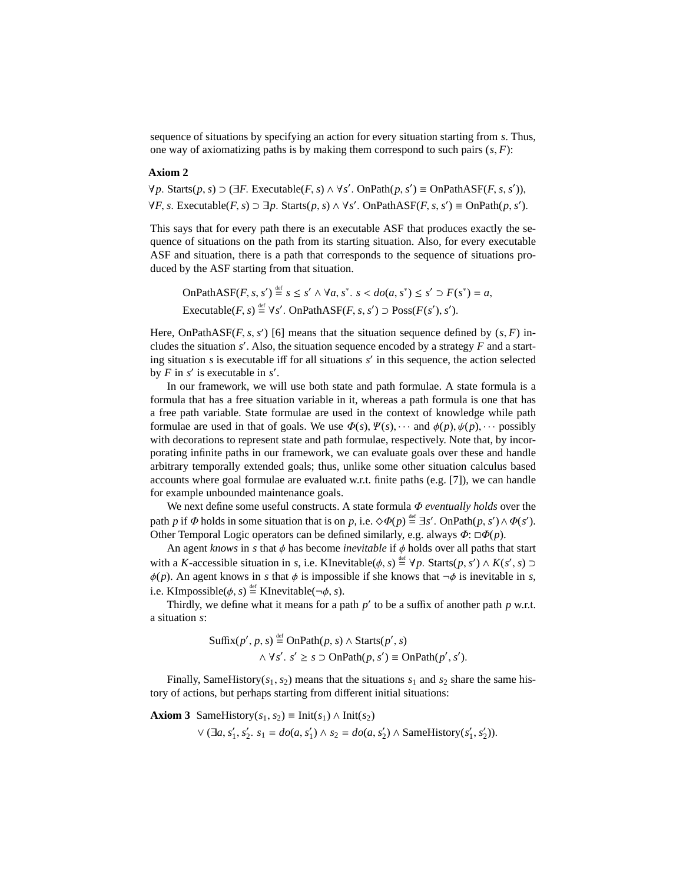sequence of situations by specifying an action for every situation starting from *s*. Thus, one way of axiomatizing paths is by making them correspond to such pairs  $(s, F)$ :

#### **Axiom 2**

 $∀p$ . Starts(*p*, *s*) ⊃ (∃*F*. Executable(*F*, *s*) ∧ ∀*s'*. OnPath(*p*, *s'*) ≡ OnPathASF(*F*, *s*, *s'*)),  $\forall F, s$ . Executable(*F*, *s*) ⊃ ∃*p*. Starts(*p*, *s*) ∧ ∀*s'*. OnPathASF(*F*, *s*, *s'*) ≡ OnPath(*p*, *s'*).

This says that for every path there is an executable ASF that produces exactly the sequence of situations on the path from its starting situation. Also, for every executable ASF and situation, there is a path that corresponds to the sequence of situations produced by the ASF starting from that situation.

OnPathASF(F, s, s') 
$$
\stackrel{\text{def}}{=} s \le s' \land \forall a, s^* \cdot s < do(a, s^*) \le s' \supset F(s^*) = a
$$
,  
Executeable(F, s)  $\stackrel{\text{def}}{=} \forall s'$ . OnPathASF(F, s, s')  $\supset \text{Poss}(F(s'), s')$ .

Here, OnPathASF( $F$ ,  $s$ ,  $s'$ ) [6] means that the situation sequence defined by  $(s, F)$  includes the situation  $s'$ . Also, the situation sequence encoded by a strategy  $F$  and a starting situation *s* is executable iff for all situations *s'* in this sequence, the action selected by  $F$  in  $s'$  is executable in  $s'$ .

In our framework, we will use both state and path formulae. A state formula is a formula that has a free situation variable in it, whereas a path formula is one that has a free path variable. State formulae are used in the context of knowledge while path formulae are used in that of goals. We use  $\Phi(s), \Psi(s), \cdots$  and  $\phi(p), \psi(p), \cdots$  possibly with decorations to represent state and path formulae, respectively. Note that, by incorporating infinite paths in our framework, we can evaluate goals over these and handle arbitrary temporally extended goals; thus, unlike some other situation calculus based accounts where goal formulae are evaluated w.r.t. finite paths (e.g. [7]), we can handle for example unbounded maintenance goals.

We next define some useful constructs. A state formula Φ *eventually holds* over the path *p* if  $\Phi$  holds in some situation that is on *p*, i.e.  $\Diamond \Phi(p) \stackrel{\text{def}}{=} \exists s'$ . OnPath $(p, s') \land \Phi(s')$ . Other Temporal Logic operators can be defined similarly, e.g. always  $\Phi$ :  $\Box \Phi(p)$ .

An agent *knows* in *s* that  $\phi$  has become *inevitable* if  $\phi$  holds over all paths that start with a *K*-accessible situation in *s*, i.e. KInevitable( $\phi$ , *s*)  $\stackrel{\text{def}}{=} \forall p$ . Starts( $p$ , *s'*)  $\land$   $K(s', s)$   $\supset$  $\phi(p)$ . An agent knows in *s* that  $\phi$  is impossible if she knows that  $\neg \phi$  is inevitable in *s*, i.e. KImpossible( $\phi$ , *s*)  $\stackrel{\text{def}}{=}$  KInevitable( $\neg \phi$ , *s*).

Thirdly, we define what it means for a path  $p'$  to be a suffix of another path  $p$  w.r.t. a situation *s*:

Suffix(
$$
p'
$$
,  $p$ ,  $s$ )  $\stackrel{\text{def}}{=} \text{OnPath}(p, s) \land \text{Starts}(p', s)$   
∧  $\forall s'$ .  $s' \ge s \supset \text{OnPath}(p, s') \equiv \text{OnPath}(p', s').$ 

Finally, SameHistory( $s_1$ ,  $s_2$ ) means that the situations  $s_1$  and  $s_2$  share the same history of actions, but perhaps starting from different initial situations:

**Axiom 3** SameHistory( $s_1, s_2$ ) ≡ Init( $s_1$ ) ∧ Init( $s_2$ )

def

∨ (∃*a*, *s*'<sub>1</sub>, *s*'<sub>2</sub>, *s*<sub>1</sub> = *do*(*a*, *s*'<sub>1</sub>) ∧ *s*<sub>2</sub> = *do*(*a*, *s*'<sub>2</sub>) ∧ SameHistory(*s*'<sub>1</sub>, *s*'<sub>2</sub>)).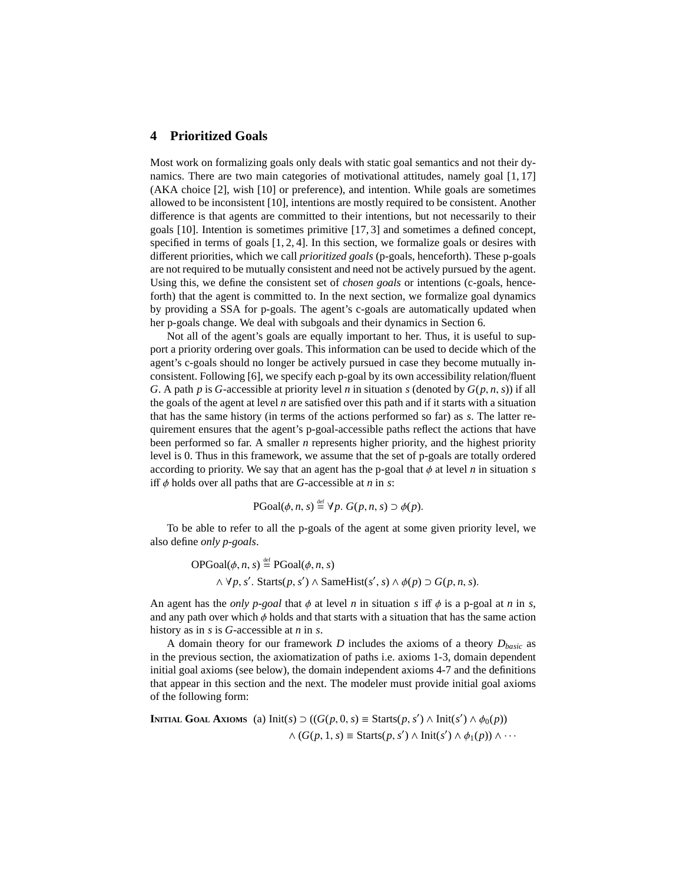# **4 Prioritized Goals**

Most work on formalizing goals only deals with static goal semantics and not their dynamics. There are two main categories of motivational attitudes, namely goal [1, 17] (AKA choice [2], wish [10] or preference), and intention. While goals are sometimes allowed to be inconsistent [10], intentions are mostly required to be consistent. Another difference is that agents are committed to their intentions, but not necessarily to their goals [10]. Intention is sometimes primitive [17, 3] and sometimes a defined concept, specified in terms of goals  $[1, 2, 4]$ . In this section, we formalize goals or desires with different priorities, which we call *prioritized goals* (p-goals, henceforth). These p-goals are not required to be mutually consistent and need not be actively pursued by the agent. Using this, we define the consistent set of *chosen goals* or intentions (c-goals, henceforth) that the agent is committed to. In the next section, we formalize goal dynamics by providing a SSA for p-goals. The agent's c-goals are automatically updated when her p-goals change. We deal with subgoals and their dynamics in Section 6.

Not all of the agent's goals are equally important to her. Thus, it is useful to support a priority ordering over goals. This information can be used to decide which of the agent's c-goals should no longer be actively pursued in case they become mutually inconsistent. Following [6], we specify each p-goal by its own accessibility relation/fluent *G*. A path *p* is *G*-accessible at priority level *n* in situation *s* (denoted by  $G(p, n, s)$ ) if all the goals of the agent at level  $n$  are satisfied over this path and if it starts with a situation that has the same history (in terms of the actions performed so far) as *s*. The latter requirement ensures that the agent's p-goal-accessible paths reflect the actions that have been performed so far. A smaller *n* represents higher priority, and the highest priority level is 0. Thus in this framework, we assume that the set of p-goals are totally ordered according to priority. We say that an agent has the p-goal that  $\phi$  at level *n* in situation *s* iff  $\phi$  holds over all paths that are *G*-accessible at *n* in *s*:

$$
\text{PGoal}(\phi, n, s) \stackrel{\text{def}}{=} \forall p. \ G(p, n, s) \supset \phi(p).
$$

To be able to refer to all the p-goals of the agent at some given priority level, we also define *only p-goals*.

$$
\text{OPGoal}(\phi, n, s) \stackrel{\text{def}}{=} \text{PGoal}(\phi, n, s)
$$
\n
$$
\land \forall p, s'. \text{Starts}(p, s') \land \text{SameHist}(s', s) \land \phi(p) \supset G(p, n, s).
$$

An agent has the *only p-goal* that  $\phi$  at level *n* in situation *s* iff  $\phi$  is a p-goal at *n* in *s*, and any path over which  $\phi$  holds and that starts with a situation that has the same action history as in *s* is *G*-accessible at *n* in *s*.

A domain theory for our framework *D* includes the axioms of a theory *Dbasic* as in the previous section, the axiomatization of paths i.e. axioms 1-3, domain dependent initial goal axioms (see below), the domain independent axioms 4-7 and the definitions that appear in this section and the next. The modeler must provide initial goal axioms of the following form:

**INITIAL GOAL AXIOMS** (a)  $\text{Init}(s) \supset ((G(p, 0, s) \equiv \text{Starts}(p, s') \land \text{Init}(s') \land \phi_0(p))$  $\land$  (*G*(*p*, 1, *s*) ≡ Starts(*p*, *s'*)  $\land$  Init(*s'*)  $\land$   $\phi_1(p)$ )  $\land \cdots$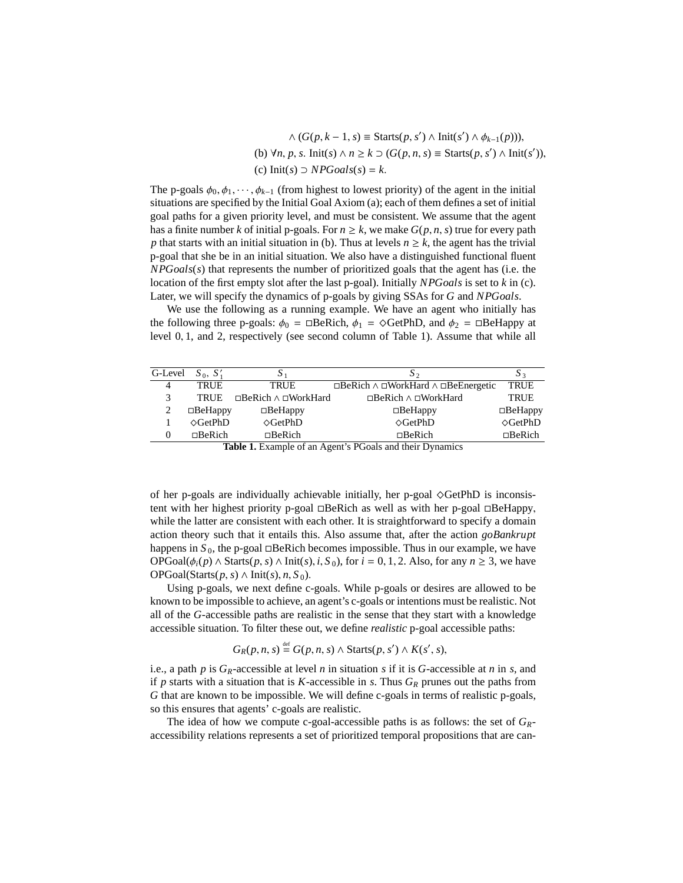$∧$  (*G*(*p*, *k* − 1, *s*) ≡ Starts(*p*, *s*<sup>'</sup>) ∧ Init(*s*<sup>'</sup>) ∧  $\phi_{k-1}(p)$ )), (b)  $\forall n, p, s$ . Init(*s*) ∧ *n* ≥ *k* ⊃ (*G*(*p*, *n*, *s*) ≡ Starts(*p*, *s'*) ∧ Init(*s'*)), (c) Init(*s*) ⊃ *NPGoals*(*s*) = *k*.

The p-goals  $\phi_0, \phi_1, \dots, \phi_{k-1}$  (from highest to lowest priority) of the agent in the initial situations are specified by the Initial Goal Axiom (a); each of them defines a set of initial goal paths for a given priority level, and must be consistent. We assume that the agent has a finite number *k* of initial p-goals. For  $n \geq k$ , we make  $G(p, n, s)$  true for every path *p* that starts with an initial situation in (b). Thus at levels  $n \geq k$ , the agent has the trivial p-goal that she be in an initial situation. We also have a distinguished functional fluent *NPGoals*(*s*) that represents the number of prioritized goals that the agent has (i.e. the location of the first empty slot after the last p-goal). Initially *NPGoals* is set to *k* in (c). Later, we will specify the dynamics of p-goals by giving SSAs for *G* and *NPGoals*.

We use the following as a running example. We have an agent who initially has the following three p-goals:  $\phi_0 = \Box \text{BeRich}, \phi_1 = \Diamond \text{GetPhD}, \text{ and } \phi_2 = \Box \text{BeHappy}$  at level 0, 1, and 2, respectively (see second column of Table 1). Assume that while all

| G-Level                                                  | $S_0$ , $S'_1$    | S.                                    | $S_{2}$                                                          | ۶ د               |
|----------------------------------------------------------|-------------------|---------------------------------------|------------------------------------------------------------------|-------------------|
| 4                                                        | <b>TRUE</b>       | <b>TRUE</b>                           | $\Box$ BeRich $\land$ $\Box$ WorkHard $\land$ $\Box$ BeEnergetic | <b>TRUE</b>       |
| 3                                                        | <b>TRUE</b>       | $\Box$ BeRich $\land$ $\Box$ WorkHard | $\Box$ BeRich $\land$ $\Box$ WorkHard                            | <b>TRUE</b>       |
|                                                          | $\Box$ BeHappy    | $\Box$ BeHappy                        | $\Box$ BeHappy                                                   | $\Box$ BeHappy    |
|                                                          | $\Diamond$ GetPhD | $\Diamond$ GetPhD                     | $\Diamond$ GetPhD                                                | $\Diamond$ GetPhD |
| $\theta$                                                 | $\Box$ BeRich     | $\Box$ BeRich                         | $\Box$ BeRich                                                    | $\Box$ BeRich     |
| Table 1. Example of an Agent's PGoals and their Dynamics |                   |                                       |                                                                  |                   |

of her p-goals are individually achievable initially, her p-goal  $\Diamond$ GetPhD is inconsistent with her highest priority p-goal  $\Box$ BeRich as well as with her p-goal  $\Box$ BeHappy, while the latter are consistent with each other. It is straightforward to specify a domain action theory such that it entails this. Also assume that, after the action *goBankrupt* happens in  $S_0$ , the p-goal  $\Box$ BeRich becomes impossible. Thus in our example, we have OPGoal $(\phi_i(p) \land \text{Starts}(p, s) \land \text{Init}(s), i, S_0)$ , for  $i = 0, 1, 2$ . Also, for any  $n \geq 3$ , we have OPGoal(Starts( $p$ ,  $s$ ) ∧ Init( $s$ ),  $n$ ,  $S$ <sub>0</sub>).

Using p-goals, we next define c-goals. While p-goals or desires are allowed to be known to be impossible to achieve, an agent's c-goals or intentions must be realistic. Not all of the *G*-accessible paths are realistic in the sense that they start with a knowledge accessible situation. To filter these out, we define *realistic* p-goal accessible paths:

$$
G_R(p, n, s) \stackrel{\text{def}}{=} G(p, n, s) \wedge \text{Starts}(p, s') \wedge K(s', s),
$$

i.e., a path *p* is *GR*-accessible at level *n* in situation *s* if it is *G*-accessible at *n* in *s*, and if *p* starts with a situation that is *K*-accessible in *s*. Thus *G<sup>R</sup>* prunes out the paths from *G* that are known to be impossible. We will define c-goals in terms of realistic p-goals, so this ensures that agents' c-goals are realistic.

The idea of how we compute c-goal-accessible paths is as follows: the set of *GR*accessibility relations represents a set of prioritized temporal propositions that are can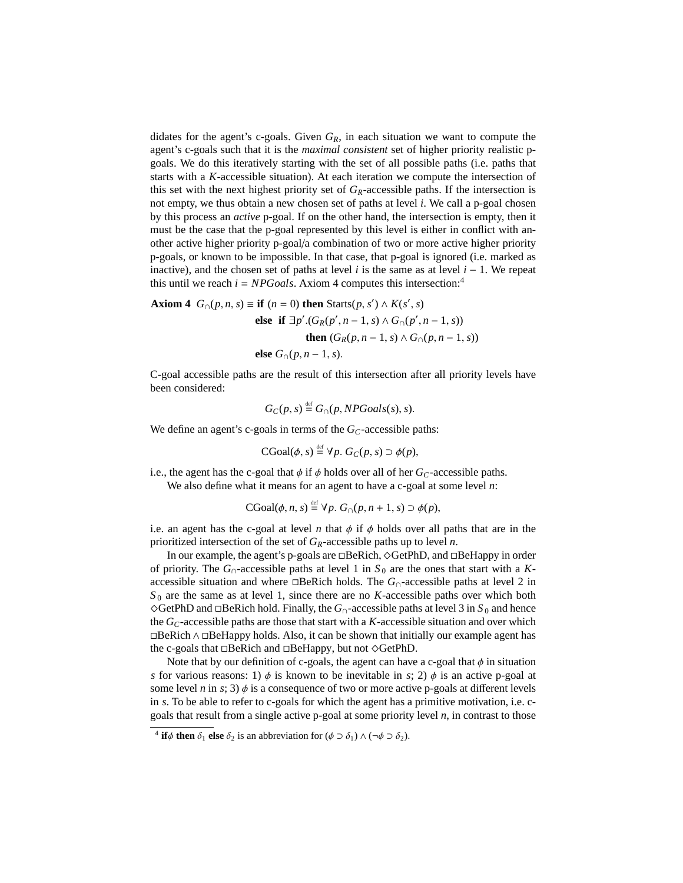didates for the agent's c-goals. Given  $G_R$ , in each situation we want to compute the agent's c-goals such that it is the *maximal consistent* set of higher priority realistic pgoals. We do this iteratively starting with the set of all possible paths (i.e. paths that starts with a *K*-accessible situation). At each iteration we compute the intersection of this set with the next highest priority set of  $G_R$ -accessible paths. If the intersection is not empty, we thus obtain a new chosen set of paths at level *i*. We call a p-goal chosen by this process an *active* p-goal. If on the other hand, the intersection is empty, then it must be the case that the p-goal represented by this level is either in conflict with another active higher priority p-goal/a combination of two or more active higher priority p-goals, or known to be impossible. In that case, that p-goal is ignored (i.e. marked as inactive), and the chosen set of paths at level *i* is the same as at level  $i - 1$ . We repeat this until we reach  $i = NPGoals$ . Axiom 4 computes this intersection:<sup>4</sup>

**Axiom 4** 
$$
G_{\cap}(p, n, s) \equiv \textbf{if } (n = 0) \textbf{ then } \text{Starts}(p, s') \wedge K(s', s)
$$
  
\n**else if**  $\exists p'. (G_R(p', n - 1, s) \wedge G_{\cap}(p', n - 1, s))$   
\n**then**  $(G_R(p, n - 1, s) \wedge G_{\cap}(p, n - 1, s))$   
\n**else**  $G_{\cap}(p, n - 1, s)$ .

C-goal accessible paths are the result of this intersection after all priority levels have been considered:

$$
G_C(p, s) \stackrel{\text{def}}{=} G_{\cap}(p, \textit{NPGoals}(s), s).
$$

We define an agent's c-goals in terms of the  $G_C$ -accessible paths:

$$
CGoal(\phi, s) \stackrel{\text{def}}{=} \forall p. G_C(p, s) \supset \phi(p),
$$

i.e., the agent has the c-goal that  $\phi$  if  $\phi$  holds over all of her  $G_C$ -accessible paths. We also define what it means for an agent to have a c-goal at some level *n*:

$$
CGoal(\phi, n, s) \stackrel{\text{def}}{=} \forall p. G_{\cap}(p, n+1, s) \supset \phi(p),
$$

i.e. an agent has the c-goal at level *n* that  $\phi$  if  $\phi$  holds over all paths that are in the prioritized intersection of the set of *GR*-accessible paths up to level *n*.

In our example, the agent's p-goals are  $\Box$ BeRich,  $\Diamond$ GetPhD, and  $\Box$ BeHappy in order of priority. The  $G_0$ -accessible paths at level 1 in  $S_0$  are the ones that start with a  $K$ accessible situation and where  $□$ BeRich holds. The  $G_∩$ -accessible paths at level 2 in  $S_0$  are the same as at level 1, since there are no *K*-accessible paths over which both ^GetPhD and BeRich hold. Finally, the *G*∩-accessible paths at level 3 in *S* <sup>0</sup> and hence the *GC*-accessible paths are those that start with a *K*-accessible situation and over which BeRich ∧ BeHappy holds. Also, it can be shown that initially our example agent has the c-goals that  $\Box$ BeRich and  $\Box$ BeHappy, but not  $\Diamond$ GetPhD.

Note that by our definition of c-goals, the agent can have a c-goal that  $\phi$  in situation *s* for various reasons: 1)  $\phi$  is known to be inevitable in *s*; 2)  $\phi$  is an active p-goal at some level *n* in *s*; 3)  $\phi$  is a consequence of two or more active p-goals at different levels in *s*. To be able to refer to c-goals for which the agent has a primitive motivation, i.e. cgoals that result from a single active p-goal at some priority level *n*, in contrast to those

<sup>&</sup>lt;sup>4</sup> **if** $\phi$  **then**  $\delta_1$  **else**  $\delta_2$  is an abbreviation for ( $\phi \supset \delta_1$ ) ∧ ( $\neg \phi \supset \delta_2$ ).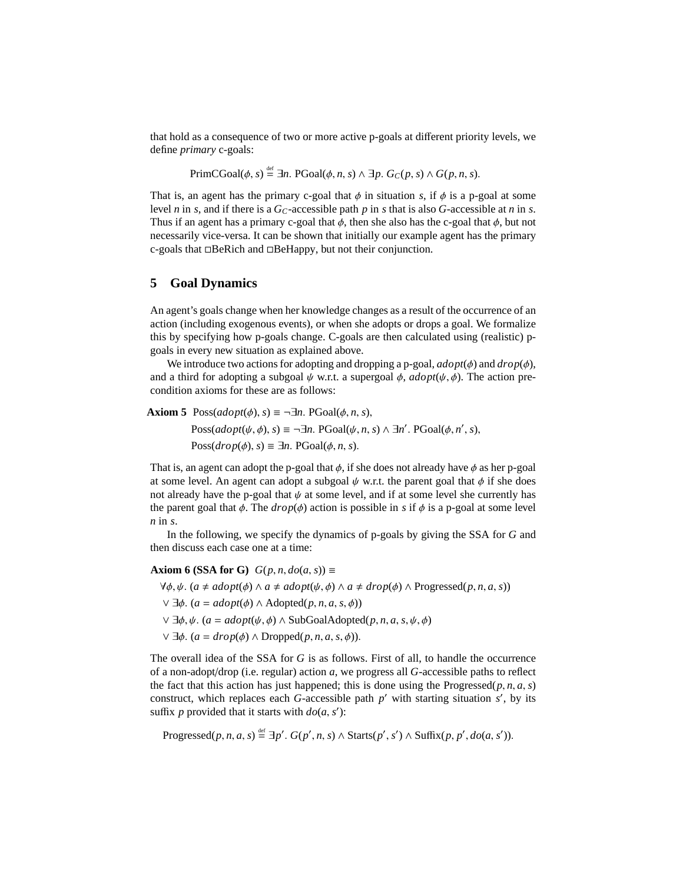that hold as a consequence of two or more active p-goals at different priority levels, we define *primary* c-goals:

 $\text{PrimCGoal}(\phi, s) \stackrel{\text{def}}{=} \exists n. \ \text{PGoal}(\phi, n, s) \land \exists p. \ G_C(p, s) \land G(p, n, s).$ 

That is, an agent has the primary c-goal that  $\phi$  in situation *s*, if  $\phi$  is a p-goal at some level *n* in *s*, and if there is a *GC*-accessible path *p* in *s* that is also *G*-accessible at *n* in *s*. Thus if an agent has a primary c-goal that  $\phi$ , then she also has the c-goal that  $\phi$ , but not necessarily vice-versa. It can be shown that initially our example agent has the primary c-goals that  $\Box$ BeRich and  $\Box$ BeHappy, but not their conjunction.

# **5 Goal Dynamics**

An agent's goals change when her knowledge changes as a result of the occurrence of an action (including exogenous events), or when she adopts or drops a goal. We formalize this by specifying how p-goals change. C-goals are then calculated using (realistic) pgoals in every new situation as explained above.

We introduce two actions for adopting and dropping a p-goal,  $\frac{adopt(\phi)}{adopt(\phi)}$  and  $\frac{drop(\phi)}{adopt(\phi)}$ . and a third for adopting a subgoal  $\psi$  w.r.t. a supergoal  $\phi$ ,  $\alpha$ *dopt*( $\psi$ ,  $\phi$ ). The action precondition axioms for these are as follows:

**Axiom 5** Poss( $adopt(\phi)$ ,  $s$ )  $\equiv \neg \exists n$ . PGoal( $\phi$ , *n*, *s*),

 $Poss(adopt(\psi, \phi), s) \equiv \neg \exists n. PGoal(\psi, n, s) \land \exists n'. PGoal(\phi, n', s),$  $Poss(drop(\phi), s) \equiv \exists n. \text{ PGoal}(\phi, n, s).$ 

That is, an agent can adopt the p-goal that  $\phi$ , if she does not already have  $\phi$  as her p-goal at some level. An agent can adopt a subgoal  $\psi$  w.r.t. the parent goal that  $\phi$  if she does not already have the p-goal that  $\psi$  at some level, and if at some level she currently has the parent goal that  $\phi$ . The  $drop(\phi)$  action is possible in *s* if  $\phi$  is a p-goal at some level *n* in *s*.

In the following, we specify the dynamics of p-goals by giving the SSA for *G* and then discuss each case one at a time:

**Axiom 6 (SSA for G)**  $G(p, n, do(a, s)) \equiv$ 

 $\forall \phi, \psi \in (a \neq adopt(\phi) \land a \neq adopt(\psi, \phi) \land a \neq drop(\phi) \land Progressed(p, n, a, s))$ 

 $∨$  ∃*ϕ*. (*a* = *adopt*( $ϕ$ ) ∧ Adopted(*p*, *n*, *a*, *s*,  $ϕ$ ))

 $∨$  ∃ $φ$ ,  $ψ$ . (*a* = *adopt*( $ψ$ ,  $φ$ ) ∧ SubGoalAdopted( $p$ , *n*, *a*, *s*,  $ψ$ ,  $φ$ )

 $∨$  ∃ $ϕ$ . (*a* = *drop*( $ϕ$ ) ∧ Dropped(*p*, *n*, *a*, *s*,  $ϕ$ )).

The overall idea of the SSA for *G* is as follows. First of all, to handle the occurrence of a non-adopt/drop (i.e. regular) action *a*, we progress all *G*-accessible paths to reflect the fact that this action has just happened; this is done using the Progressed( $p, n, a, s$ ) construct, which replaces each *G*-accessible path  $p'$  with starting situation  $s'$ , by its suffix p provided that it starts with  $do(a, s')$ :

Progressed(*p*, *n*, *a*, *s*)  $\stackrel{\text{def}}{=} \exists p'. G(p', n, s) \land \text{Starts}(p', s') \land \text{Suffix}(p, p', do(a, s')).$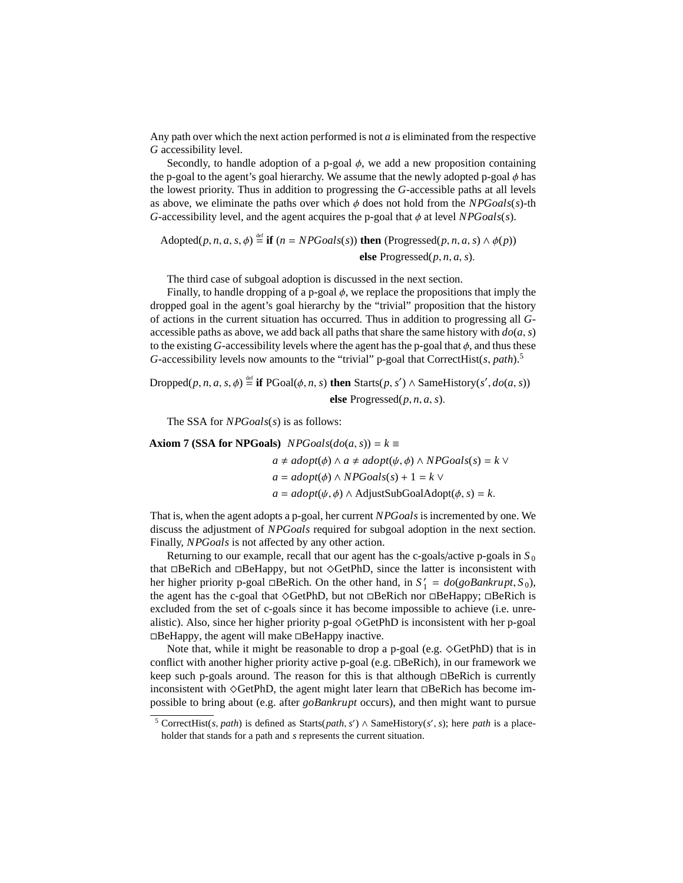Any path over which the next action performed is not *a* is eliminated from the respective *G* accessibility level.

Secondly, to handle adoption of a p-goal  $\phi$ , we add a new proposition containing the p-goal to the agent's goal hierarchy. We assume that the newly adopted p-goal  $\phi$  has the lowest priority. Thus in addition to progressing the *G*-accessible paths at all levels as above, we eliminate the paths over which  $\phi$  does not hold from the *NPGoals*(*s*)-th *G*-accessibility level, and the agent acquires the p-goal that  $\phi$  at level *NPGoals*(*s*).

Adopted( $p, n, a, s, \phi$ )  $\stackrel{\text{def}}{=}$  **if** ( $n = NPGoal(s)$ ) **then** (Progressed( $p, n, a, s$ )  $\land \phi(p)$ ) **else** Progressed $(p, n, a, s)$ .

The third case of subgoal adoption is discussed in the next section.

Finally, to handle dropping of a p-goal  $\phi$ , we replace the propositions that imply the dropped goal in the agent's goal hierarchy by the "trivial" proposition that the history of actions in the current situation has occurred. Thus in addition to progressing all *G*accessible paths as above, we add back all paths that share the same history with  $d\rho(a, s)$ to the existing *G*-accessibility levels where the agent has the p-goal that  $\phi$ , and thus these *G*-accessibility levels now amounts to the "trivial" p-goal that CorrectHist(*s*, *path*).<sup>5</sup>

Dropped( $p, n, a, s, \phi$ )  $\stackrel{\text{def}}{=}$  **if** PGoal( $\phi, n, s$ ) **then** Starts( $p, s'$ )  $\land$  SameHistory( $s'$ ,  $do(a, s)$ ) **else** Progressed $(p, n, a, s)$ .

The SSA for *NPGoals*(*s*) is as follows:

**Axiom 7 (SSA for NPGoals)**  $NPGoals(do(a, s)) = k \equiv$ 

 $a \neq adopt(\phi) \land a \neq adopt(\psi, \phi) \land NPGoal(s) = k \lor$  $a = adopt(\phi) \land NPGoal(s) + 1 = k \lor$  $a = adopt(\psi, \phi) \land AdjustSubGoalAdopt(\phi, s) = k.$ 

That is, when the agent adopts a p-goal, her current *NPGoals* is incremented by one. We discuss the adjustment of *NPGoals* required for subgoal adoption in the next section. Finally, *NPGoals* is not affected by any other action.

Returning to our example, recall that our agent has the c-goals/active p-goals in  $S_0$ that  $\Box$ BeRich and  $\Box$ BeHappy, but not  $\Diamond$ GetPhD, since the latter is inconsistent with her higher priority p-goal  $\Box$ BeRich. On the other hand, in  $S'_1 = \text{do}(\text{goBankrupt}, S_0)$ , the agent has the c-goal that  $\Diamond$ GetPhD, but not  $\Box$ BeRich nor  $\Box$ BeHappy;  $\Box$ BeRich is excluded from the set of c-goals since it has become impossible to achieve (i.e. unrealistic). Also, since her higher priority p-goal  $\Diamond$ GetPhD is inconsistent with her p-goal  $\Box$ BeHappy, the agent will make  $\Box$ BeHappy inactive.

Note that, while it might be reasonable to drop a p-goal (e.g.  $\Diamond \text{GetPhD}$ ) that is in conflict with another higher priority active p-goal (e.g.  $\Box$ BeRich), in our framework we keep such p-goals around. The reason for this is that although  $\Box$ BeRich is currently inconsistent with  $\Diamond$ GetPhD, the agent might later learn that  $\Box$ BeRich has become impossible to bring about (e.g. after *goBankrupt* occurs), and then might want to pursue

<sup>&</sup>lt;sup>5</sup> CorrectHist(*s*, *path*) is defined as Starts(*path*, *s'*) ∧ SameHistory(*s'*, *s*); here *path* is a placeholder that stands for a path and *s* represents the current situation.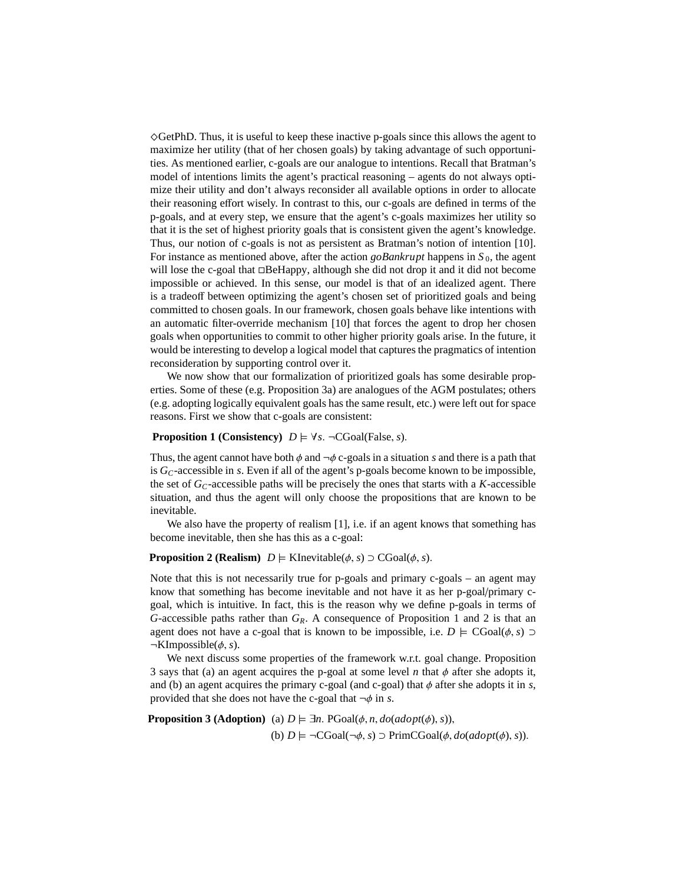$\Diamond$ GetPhD. Thus, it is useful to keep these inactive p-goals since this allows the agent to maximize her utility (that of her chosen goals) by taking advantage of such opportunities. As mentioned earlier, c-goals are our analogue to intentions. Recall that Bratman's model of intentions limits the agent's practical reasoning – agents do not always optimize their utility and don't always reconsider all available options in order to allocate their reasoning effort wisely. In contrast to this, our c-goals are defined in terms of the p-goals, and at every step, we ensure that the agent's c-goals maximizes her utility so that it is the set of highest priority goals that is consistent given the agent's knowledge. Thus, our notion of c-goals is not as persistent as Bratman's notion of intention [10]. For instance as mentioned above, after the action  $\alpha \beta$  *goBankrupt* happens in  $S_0$ , the agent will lose the c-goal that  $\Box$ BeHappy, although she did not drop it and it did not become impossible or achieved. In this sense, our model is that of an idealized agent. There is a tradeoff between optimizing the agent's chosen set of prioritized goals and being committed to chosen goals. In our framework, chosen goals behave like intentions with an automatic filter-override mechanism [10] that forces the agent to drop her chosen goals when opportunities to commit to other higher priority goals arise. In the future, it would be interesting to develop a logical model that captures the pragmatics of intention reconsideration by supporting control over it.

We now show that our formalization of prioritized goals has some desirable properties. Some of these (e.g. Proposition 3a) are analogues of the AGM postulates; others (e.g. adopting logically equivalent goals has the same result, etc.) were left out for space reasons. First we show that c-goals are consistent:

#### **Proposition 1 (Consistency)**  $D \models \forall s$ .  $\neg$ CGoal(False, *s*).

Thus, the agent cannot have both  $\phi$  and  $\neg \phi$  c-goals in a situation *s* and there is a path that is  $G_C$ -accessible in *s*. Even if all of the agent's p-goals become known to be impossible, the set of  $G_C$ -accessible paths will be precisely the ones that starts with a  $K$ -accessible situation, and thus the agent will only choose the propositions that are known to be inevitable.

We also have the property of realism [1], i.e. if an agent knows that something has become inevitable, then she has this as a c-goal:

#### **Proposition 2 (Realism)**  $D \models$  KInevitable( $\phi$ , *s*)  $\supset$  CGoal( $\phi$ , *s*).

Note that this is not necessarily true for p-goals and primary c-goals – an agent may know that something has become inevitable and not have it as her p-goal/primary cgoal, which is intuitive. In fact, this is the reason why we define p-goals in terms of *G*-accessible paths rather than *GR*. A consequence of Proposition 1 and 2 is that an agent does not have a c-goal that is known to be impossible, i.e.  $D \models CGoal(\phi, s) \supset$  $\neg$ KImpossible( $\phi$ , *s*).

We next discuss some properties of the framework w.r.t. goal change. Proposition 3 says that (a) an agent acquires the p-goal at some level *n* that  $\phi$  after she adopts it, and (b) an agent acquires the primary c-goal (and c-goal) that  $\phi$  after she adopts it in *s*, provided that she does not have the c-goal that  $\neg \phi$  in *s*.

**Proposition 3 (Adoption)** (a)  $D \models \exists n$ . PGoal( $\phi, n$ ,  $do(adopt(\phi), s)$ ),

(b)  $D \models \neg CGoal(\neg \phi, s) \supset \text{Prim}CGoal(\phi, do(adopt(\phi), s)).$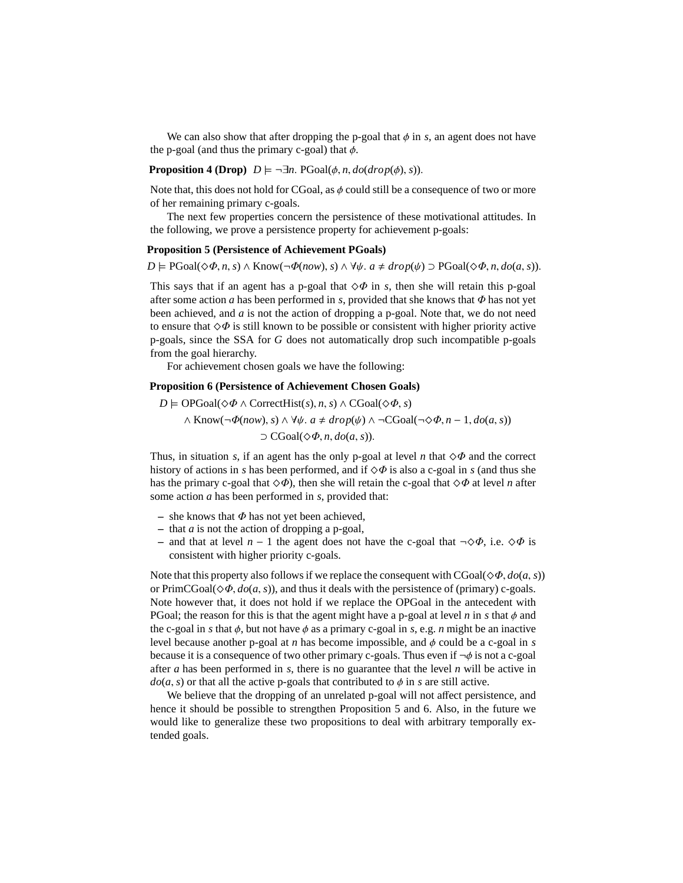We can also show that after dropping the p-goal that  $\phi$  in *s*, an agent does not have the p-goal (and thus the primary c-goal) that  $\phi$ .

#### **Proposition 4 (Drop)**  $D \models \neg \exists n$ . PGoal $(\phi, n, do(drop(\phi), s))$ .

Note that, this does not hold for CGoal, as  $\phi$  could still be a consequence of two or more of her remaining primary c-goals.

The next few properties concern the persistence of these motivational attitudes. In the following, we prove a persistence property for achievement p-goals:

#### **Proposition 5 (Persistence of Achievement PGoals)**

 $D \models \text{PGoal}(\Diamond \Phi, n, s) \land \text{Know}(\neg \Phi(now), s) \land \forall \psi. a \neq drop(\psi) \supset \text{PGoal}(\Diamond \Phi, n, do(a, s)).$ 

This says that if an agent has a p-goal that  $\Diamond \Phi$  in *s*, then she will retain this p-goal after some action *a* has been performed in *s*, provided that she knows that  $\Phi$  has not yet been achieved, and *a* is not the action of dropping a p-goal. Note that, we do not need to ensure that  $\Diamond \Phi$  is still known to be possible or consistent with higher priority active p-goals, since the SSA for *G* does not automatically drop such incompatible p-goals from the goal hierarchy.

For achievement chosen goals we have the following:

### **Proposition 6 (Persistence of Achievement Chosen Goals)**

*D*  $\models$  OPGoal( $\diamond \Phi \land$  CorrectHist(*s*), *n*, *s*) ∧ CGoal( $\diamond \Phi$ , *s*)  $\land$  Know(¬ $\Phi$ (*now*), *s*)  $\land$  ∀ $\psi$ . *a*  $\neq$  *drop*( $\psi$ )  $\land$  ¬CGoal(¬ $\diamond$  $\Phi$ , *n* − 1, *do*(*a*, *s*))  $\supset$  CGoal( $\diamond \Phi$ , *n*,  $do(a, s)$ ).

Thus, in situation *s*, if an agent has the only p-goal at level *n* that  $\Diamond \Phi$  and the correct history of actions in *s* has been performed, and if  $\Diamond \Phi$  is also a c-goal in *s* (and thus she has the primary c-goal that  $\Diamond \Phi$ ), then she will retain the c-goal that  $\Diamond \Phi$  at level *n* after some action *a* has been performed in *s*, provided that:

- $-$  she knows that  $\Phi$  has not yet been achieved,
- **–** that *a* is not the action of dropping a p-goal,
- and that at level *n* − 1 the agent does not have the c-goal that  $\neg \Diamond \Phi$ , i.e.  $\Diamond \Phi$  is consistent with higher priority c-goals.

Note that this property also follows if we replace the consequent with CGoal( $\Diamond \Phi$ ,  $do(a, s)$ ) or PrimCGoal( $\Diamond \Phi$ , *do*(*a*, *s*)), and thus it deals with the persistence of (primary) c-goals. Note however that, it does not hold if we replace the OPGoal in the antecedent with PGoal; the reason for this is that the agent might have a p-goal at level *n* in *s* that  $\phi$  and the c-goal in *s* that  $\phi$ , but not have  $\phi$  as a primary c-goal in *s*, e.g. *n* might be an inactive level because another p-goal at *n* has become impossible, and  $\phi$  could be a c-goal in *s* because it is a consequence of two other primary c-goals. Thus even if  $\neg \phi$  is not a c-goal after *a* has been performed in *s*, there is no guarantee that the level *n* will be active in  $do(a, s)$  or that all the active p-goals that contributed to  $\phi$  in *s* are still active.

We believe that the dropping of an unrelated p-goal will not affect persistence, and hence it should be possible to strengthen Proposition 5 and 6. Also, in the future we would like to generalize these two propositions to deal with arbitrary temporally extended goals.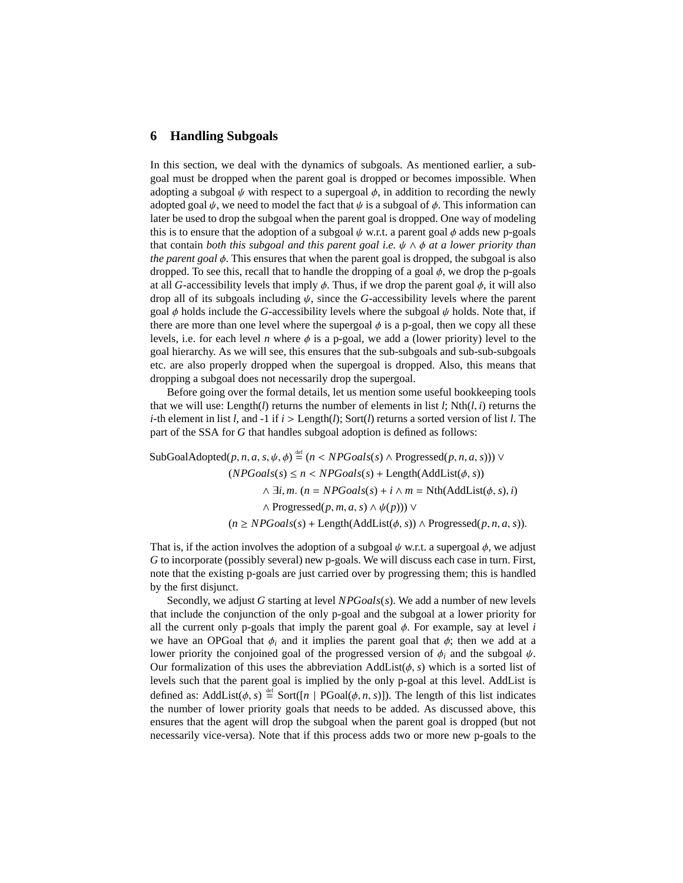### **6 Handling Subgoals**

In this section, we deal with the dynamics of subgoals. As mentioned earlier, a subgoal must be dropped when the parent goal is dropped or becomes impossible. When adopting a subgoal  $\psi$  with respect to a supergoal  $\phi$ , in addition to recording the newly adopted goal  $\psi$ , we need to model the fact that  $\psi$  is a subgoal of  $\phi$ . This information can later be used to drop the subgoal when the parent goal is dropped. One way of modeling this is to ensure that the adoption of a subgoal  $\psi$  w.r.t. a parent goal  $\phi$  adds new p-goals that contain *both this subgoal and this parent goal i.e.* ψ ∧ φ *at a lower priority than the parent goal* φ. This ensures that when the parent goal is dropped, the subgoal is also dropped. To see this, recall that to handle the dropping of a goal  $\phi$ , we drop the p-goals at all *G*-accessibility levels that imply  $\phi$ . Thus, if we drop the parent goal  $\phi$ , it will also drop all of its subgoals including ψ, since the *G*-accessibility levels where the parent goal  $\phi$  holds include the *G*-accessibility levels where the subgoal  $\psi$  holds. Note that, if there are more than one level where the supergoal  $\phi$  is a p-goal, then we copy all these levels, i.e. for each level *n* where  $\phi$  is a p-goal, we add a (lower priority) level to the goal hierarchy. As we will see, this ensures that the sub-subgoals and sub-sub-subgoals etc. are also properly dropped when the supergoal is dropped. Also, this means that dropping a subgoal does not necessarily drop the supergoal.

Before going over the formal details, let us mention some useful bookkeeping tools that we will use: Length(*l*) returns the number of elements in list *l*; Nth(*l*, *i*) returns the *i*-th element in list *l*, and -1 if  $i >$  Length(*l*); Sort(*l*) returns a sorted version of list *l*. The part of the SSA for *G* that handles subgoal adoption is defined as follows:

 $\text{SubGoalAdopted}(p, n, a, s, \psi, \phi) \stackrel{\text{def}}{=} (n < NPGoals(s) \land \text{Progressed}(p, n, a, s)) \lor$  $(NPGoals(s) \leq n \leq NPGoal(s) + Length(AddList(\phi, s))$ ∧ ∃*i*, *m*. (*n* = *NPGoals*(*s*) + *i* ∧ *m* = Nth(AddList(φ, *s*), *i*)  $\land$  Progressed(*p*, *m*, *a*, *s*)  $\land$   $\psi$ (*p*))) ∨  $(n \geq NPGoals(s) + Length(AddList(\phi, s)) \land Progressed(p, n, a, s)).$ 

That is, if the action involves the adoption of a subgoal  $\psi$  w.r.t. a supergoal  $\phi$ , we adjust *G* to incorporate (possibly several) new p-goals. We will discuss each case in turn. First, note that the existing p-goals are just carried over by progressing them; this is handled by the first disjunct.

Secondly, we adjust *G* starting at level *NPGoals*(*s*). We add a number of new levels that include the conjunction of the only p-goal and the subgoal at a lower priority for all the current only p-goals that imply the parent goal  $\phi$ . For example, say at level *i* we have an OPGoal that  $\phi_i$  and it implies the parent goal that  $\phi$ ; then we add at a lower priority the conjoined goal of the progressed version of  $\phi_i$  and the subgoal  $\psi$ . Our formalization of this uses the abbreviation AddList(φ, *s*) which is a sorted list of levels such that the parent goal is implied by the only p-goal at this level. AddList is defined as: AddList( $\phi$ ,  $s$ )  $\stackrel{\text{def}}{=}$  Sort([*n* | PGoal( $\phi$ , *n*, *s*)]). The length of this list indicates the number of lower priority goals that needs to be added. As discussed above, this ensures that the agent will drop the subgoal when the parent goal is dropped (but not necessarily vice-versa). Note that if this process adds two or more new p-goals to the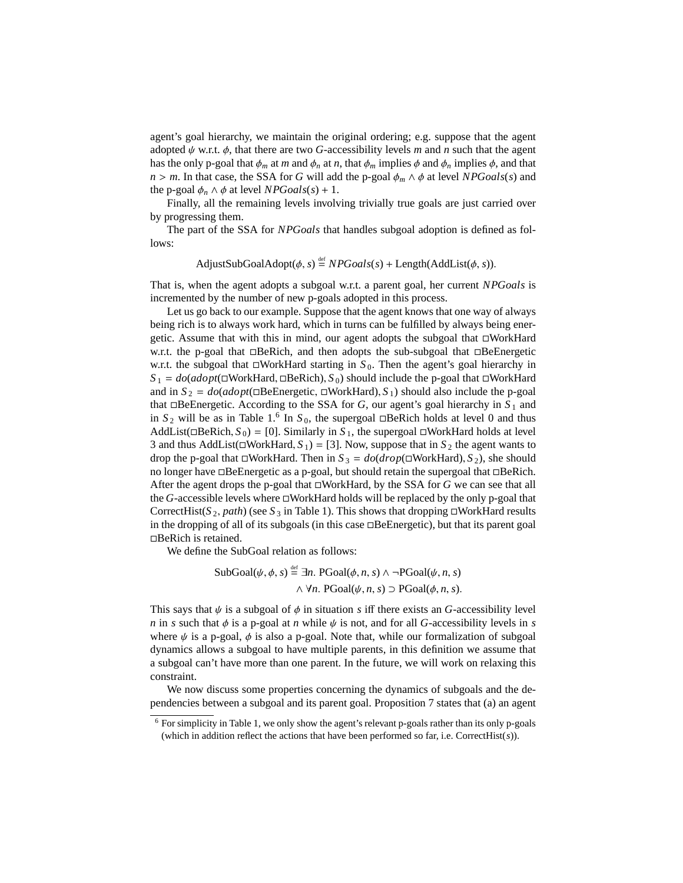agent's goal hierarchy, we maintain the original ordering; e.g. suppose that the agent adopted  $\psi$  w.r.t.  $\phi$ , that there are two *G*-accessibility levels *m* and *n* such that the agent has the only p-goal that  $\phi_m$  at *m* and  $\phi_n$  at *n*, that  $\phi_m$  implies  $\phi$  and  $\phi_n$  implies  $\phi$ , and that *n* > *m*. In that case, the SSA for *G* will add the p-goal  $\phi_m \land \phi$  at level *NPGoals*(*s*) and the p-goal  $\phi_n \wedge \phi$  at level *NPGoals*(*s*) + 1.

Finally, all the remaining levels involving trivially true goals are just carried over by progressing them.

The part of the SSA for *NPGoals* that handles subgoal adoption is defined as follows:

# AdjustSubGoalAdopt( $\phi$ , *s*)  $\stackrel{\text{def}}{=} NPGoals(s) + Length(AddList(\phi, s))$ .

That is, when the agent adopts a subgoal w.r.t. a parent goal, her current *NPGoals* is incremented by the number of new p-goals adopted in this process.

Let us go back to our example. Suppose that the agent knows that one way of always being rich is to always work hard, which in turns can be fulfilled by always being energetic. Assume that with this in mind, our agent adopts the subgoal that  $\square$ WorkHard w.r.t. the p-goal that  $\Box$ BeRich, and then adopts the sub-subgoal that  $\Box$ BeEnergetic w.r.t. the subgoal that  $\square$ WorkHard starting in  $S_0$ . Then the agent's goal hierarchy in  $S_1 = do(adopt(\Box WorkHard, \Box Bekich), S_0)$  should include the p-goal that  $\Box WorkHard$ and in  $S_2 = do (adopt(\Box BeEnergetic, \Box WorkHard), S_1)$  should also include the p-goal that  $\Box$ BeEnergetic. According to the SSA for *G*, our agent's goal hierarchy in  $S_1$  and in  $S_2$  will be as in Table 1.<sup>6</sup> In  $S_0$ , the supergoal  $\Box$ BeRich holds at level 0 and thus AddList( $\Box$ BeRich,  $S_0$ ) = [0]. Similarly in  $S_1$ , the supergoal  $\Box$ WorkHard holds at level 3 and thus AddList( $\Box$ WorkHard,  $S_1$ ) = [3]. Now, suppose that in  $S_2$  the agent wants to drop the p-goal that  $\Box$ WorkHard. Then in  $S_3 = do(drop(\Box WorkHard), S_2)$ , she should no longer have  $\Box$ BeEnergetic as a p-goal, but should retain the supergoal that  $\Box$ BeRich. After the agent drops the p-goal that  $\square$ WorkHard, by the SSA for *G* we can see that all the *G*-accessible levels where WorkHard holds will be replaced by the only p-goal that CorrectHist( $S_2$ , *path*) (see  $S_3$  in Table 1). This shows that dropping  $\square$ WorkHard results in the dropping of all of its subgoals (in this case  $\Box$ BeEnergetic), but that its parent goal □BeRich is retained.

We define the SubGoal relation as follows:

SubGoal(
$$
\psi, \phi, s
$$
)  $\stackrel{\text{def}}{=} \exists n$ . PGoal( $\phi, n, s$ )  $\land \neg \text{PGoal}(\psi, n, s)$   
 $\land \forall n$ . PGoal( $\psi, n, s$ )  $\supset \text{PGoal}(\phi, n, s)$ .

This says that  $\psi$  is a subgoal of  $\phi$  in situation *s* iff there exists an *G*-accessibility level *n* in *s* such that  $\phi$  is a p-goal at *n* while  $\psi$  is not, and for all *G*-accessibility levels in *s* where  $\psi$  is a p-goal,  $\phi$  is also a p-goal. Note that, while our formalization of subgoal dynamics allows a subgoal to have multiple parents, in this definition we assume that a subgoal can't have more than one parent. In the future, we will work on relaxing this constraint.

We now discuss some properties concerning the dynamics of subgoals and the dependencies between a subgoal and its parent goal. Proposition 7 states that (a) an agent

<sup>&</sup>lt;sup>6</sup> For simplicity in Table 1, we only show the agent's relevant p-goals rather than its only p-goals (which in addition reflect the actions that have been performed so far, i.e. CorrectHist(*s*)).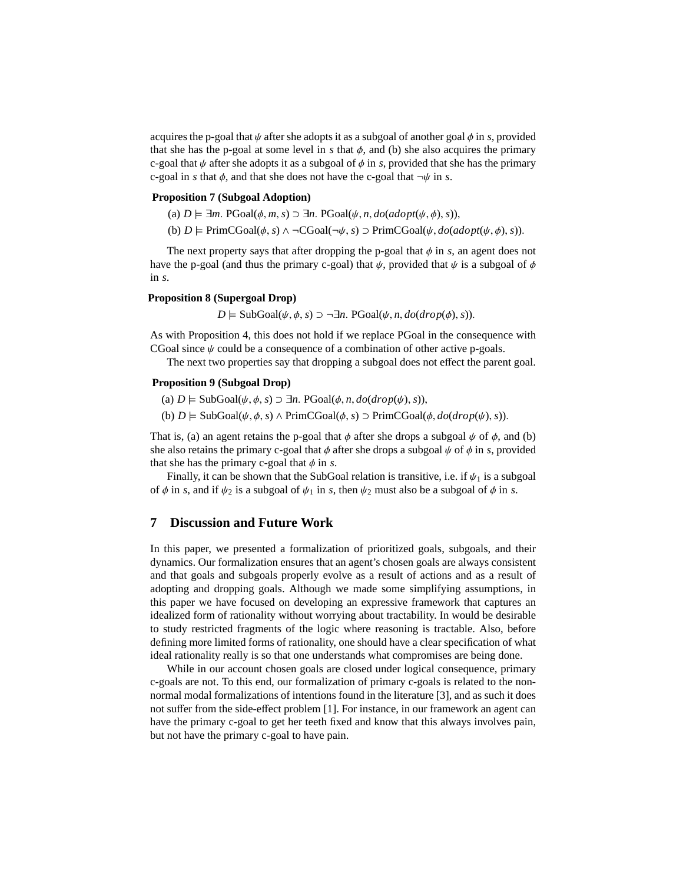acquires the p-goal that  $\psi$  after she adopts it as a subgoal of another goal  $\phi$  in *s*, provided that she has the p-goal at some level in *s* that  $\phi$ , and (b) she also acquires the primary c-goal that  $\psi$  after she adopts it as a subgoal of  $\phi$  in *s*, provided that she has the primary c-goal in *s* that  $\phi$ , and that she does not have the c-goal that  $\neg \psi$  in *s*.

#### **Proposition 7 (Subgoal Adoption)**

(a) *D*  $\models \exists m$ . PGoal( $\phi, m, s$ ) ⊃  $\exists n$ . PGoal( $\psi, n$ , *do*(*adopt*( $\psi, \phi$ ), *s*)),

(b)  $D \models \text{PrimCGoal}(\phi, s) \land \neg \text{CGoal}(\neg \psi, s) \supset \text{PrimCGoal}(\psi, \text{do}(\text{adopt}(\psi, \phi), s)).$ 

The next property says that after dropping the p-goal that  $\phi$  in *s*, an agent does not have the p-goal (and thus the primary c-goal) that  $\psi$ , provided that  $\psi$  is a subgoal of  $\phi$ in *s*.

#### **Proposition 8 (Supergoal Drop)**

 $D \models \text{SubGoal}(\psi, \phi, s) \supset \neg \exists n. \text{ PGoal}(\psi, n, do(drop(\phi), s)).$ 

As with Proposition 4, this does not hold if we replace PGoal in the consequence with CGoal since  $\psi$  could be a consequence of a combination of other active p-goals.

The next two properties say that dropping a subgoal does not effect the parent goal.

#### **Proposition 9 (Subgoal Drop)**

(a)  $D \models \text{SubGoal}(\psi, \phi, s) \supset \exists n. \text{ PGoal}(\phi, n, \text{do}(\text{drop}(\psi), s)),$ 

(b)  $D \models \text{SubGoal}(\psi, \phi, s) \land \text{PrimCGoal}(\phi, s) \supset \text{PrimCGoal}(\phi, \text{do}(\text{drop}(\psi), s)).$ 

That is, (a) an agent retains the p-goal that  $\phi$  after she drops a subgoal  $\psi$  of  $\phi$ , and (b) she also retains the primary c-goal that  $\phi$  after she drops a subgoal  $\psi$  of  $\phi$  in *s*, provided that she has the primary c-goal that  $\phi$  in *s*.

Finally, it can be shown that the SubGoal relation is transitive, i.e. if  $\psi_1$  is a subgoal of  $\phi$  in *s*, and if  $\psi_2$  is a subgoal of  $\psi_1$  in *s*, then  $\psi_2$  must also be a subgoal of  $\phi$  in *s*.

# **7 Discussion and Future Work**

In this paper, we presented a formalization of prioritized goals, subgoals, and their dynamics. Our formalization ensures that an agent's chosen goals are always consistent and that goals and subgoals properly evolve as a result of actions and as a result of adopting and dropping goals. Although we made some simplifying assumptions, in this paper we have focused on developing an expressive framework that captures an idealized form of rationality without worrying about tractability. In would be desirable to study restricted fragments of the logic where reasoning is tractable. Also, before defining more limited forms of rationality, one should have a clear specification of what ideal rationality really is so that one understands what compromises are being done.

While in our account chosen goals are closed under logical consequence, primary c-goals are not. To this end, our formalization of primary c-goals is related to the nonnormal modal formalizations of intentions found in the literature [3], and as such it does not suffer from the side-effect problem [1]. For instance, in our framework an agent can have the primary c-goal to get her teeth fixed and know that this always involves pain, but not have the primary c-goal to have pain.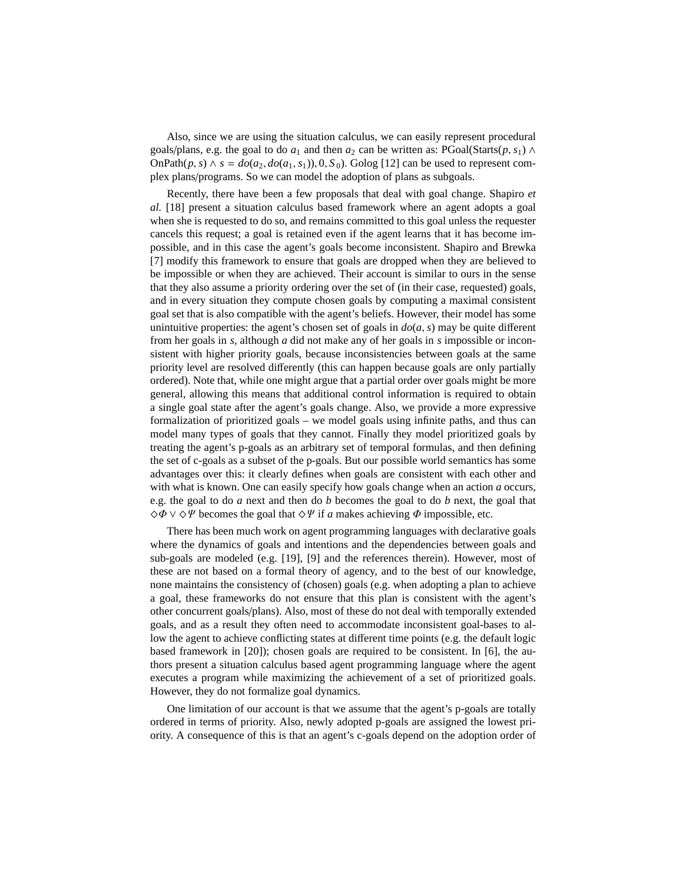Also, since we are using the situation calculus, we can easily represent procedural goals/plans, e.g. the goal to do  $a_1$  and then  $a_2$  can be written as: PGoal(Starts( $p, s_1$ )  $\wedge$ OnPath $(p, s) \wedge s = do(a_2, do(a_1, s_1)), 0, S_0$ . Golog [12] can be used to represent complex plans/programs. So we can model the adoption of plans as subgoals.

Recently, there have been a few proposals that deal with goal change. Shapiro *et al.* [18] present a situation calculus based framework where an agent adopts a goal when she is requested to do so, and remains committed to this goal unless the requester cancels this request; a goal is retained even if the agent learns that it has become impossible, and in this case the agent's goals become inconsistent. Shapiro and Brewka [7] modify this framework to ensure that goals are dropped when they are believed to be impossible or when they are achieved. Their account is similar to ours in the sense that they also assume a priority ordering over the set of (in their case, requested) goals, and in every situation they compute chosen goals by computing a maximal consistent goal set that is also compatible with the agent's beliefs. However, their model has some unintuitive properties: the agent's chosen set of goals in  $do(a, s)$  may be quite different from her goals in *s*, although *a* did not make any of her goals in *s* impossible or inconsistent with higher priority goals, because inconsistencies between goals at the same priority level are resolved differently (this can happen because goals are only partially ordered). Note that, while one might argue that a partial order over goals might be more general, allowing this means that additional control information is required to obtain a single goal state after the agent's goals change. Also, we provide a more expressive formalization of prioritized goals – we model goals using infinite paths, and thus can model many types of goals that they cannot. Finally they model prioritized goals by treating the agent's p-goals as an arbitrary set of temporal formulas, and then defining the set of c-goals as a subset of the p-goals. But our possible world semantics has some advantages over this: it clearly defines when goals are consistent with each other and with what is known. One can easily specify how goals change when an action *a* occurs, e.g. the goal to do *a* next and then do *b* becomes the goal to do *b* next, the goal that  $\Diamond \Phi \lor \Diamond \Psi$  becomes the goal that  $\Diamond \Psi$  if *a* makes achieving  $\Phi$  impossible, etc.

There has been much work on agent programming languages with declarative goals where the dynamics of goals and intentions and the dependencies between goals and sub-goals are modeled (e.g. [19], [9] and the references therein). However, most of these are not based on a formal theory of agency, and to the best of our knowledge, none maintains the consistency of (chosen) goals (e.g. when adopting a plan to achieve a goal, these frameworks do not ensure that this plan is consistent with the agent's other concurrent goals/plans). Also, most of these do not deal with temporally extended goals, and as a result they often need to accommodate inconsistent goal-bases to allow the agent to achieve conflicting states at different time points (e.g. the default logic based framework in [20]); chosen goals are required to be consistent. In [6], the authors present a situation calculus based agent programming language where the agent executes a program while maximizing the achievement of a set of prioritized goals. However, they do not formalize goal dynamics.

One limitation of our account is that we assume that the agent's p-goals are totally ordered in terms of priority. Also, newly adopted p-goals are assigned the lowest priority. A consequence of this is that an agent's c-goals depend on the adoption order of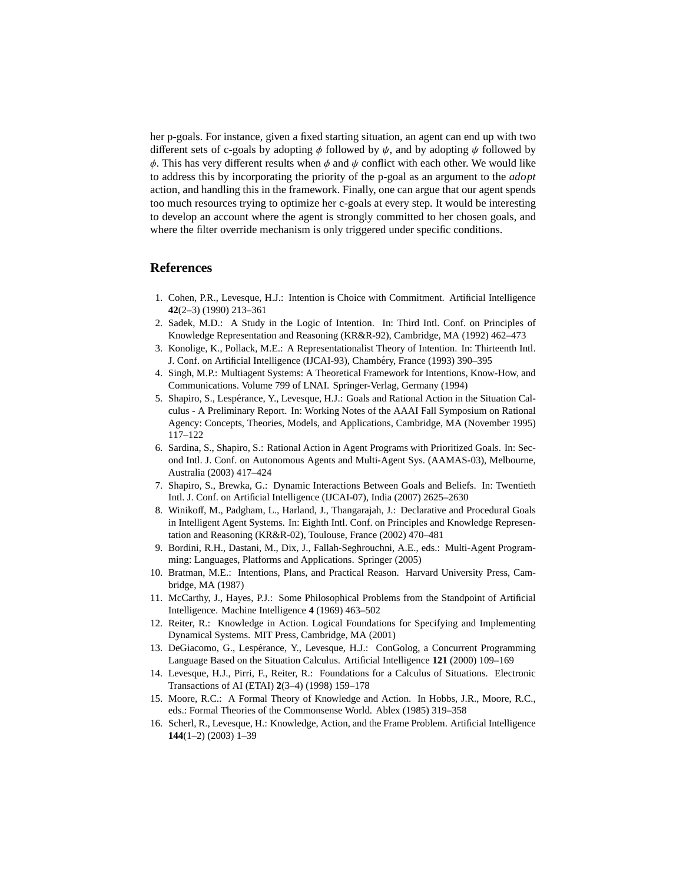her p-goals. For instance, given a fixed starting situation, an agent can end up with two different sets of c-goals by adopting  $\phi$  followed by  $\psi$ , and by adopting  $\psi$  followed by  $\phi$ . This has very different results when  $\phi$  and  $\psi$  conflict with each other. We would like to address this by incorporating the priority of the p-goal as an argument to the *adopt* action, and handling this in the framework. Finally, one can argue that our agent spends too much resources trying to optimize her c-goals at every step. It would be interesting to develop an account where the agent is strongly committed to her chosen goals, and where the filter override mechanism is only triggered under specific conditions.

### **References**

- 1. Cohen, P.R., Levesque, H.J.: Intention is Choice with Commitment. Artificial Intelligence **42**(2–3) (1990) 213–361
- 2. Sadek, M.D.: A Study in the Logic of Intention. In: Third Intl. Conf. on Principles of Knowledge Representation and Reasoning (KR&R-92), Cambridge, MA (1992) 462–473
- 3. Konolige, K., Pollack, M.E.: A Representationalist Theory of Intention. In: Thirteenth Intl. J. Conf. on Artificial Intelligence (IJCAI-93), Chambéry, France (1993) 390-395
- 4. Singh, M.P.: Multiagent Systems: A Theoretical Framework for Intentions, Know-How, and Communications. Volume 799 of LNAI. Springer-Verlag, Germany (1994)
- 5. Shapiro, S., Lespérance, Y., Levesque, H.J.: Goals and Rational Action in the Situation Calculus - A Preliminary Report. In: Working Notes of the AAAI Fall Symposium on Rational Agency: Concepts, Theories, Models, and Applications, Cambridge, MA (November 1995) 117–122
- 6. Sardina, S., Shapiro, S.: Rational Action in Agent Programs with Prioritized Goals. In: Second Intl. J. Conf. on Autonomous Agents and Multi-Agent Sys. (AAMAS-03), Melbourne, Australia (2003) 417–424
- 7. Shapiro, S., Brewka, G.: Dynamic Interactions Between Goals and Beliefs. In: Twentieth Intl. J. Conf. on Artificial Intelligence (IJCAI-07), India (2007) 2625–2630
- 8. Winikoff, M., Padgham, L., Harland, J., Thangarajah, J.: Declarative and Procedural Goals in Intelligent Agent Systems. In: Eighth Intl. Conf. on Principles and Knowledge Representation and Reasoning (KR&R-02), Toulouse, France (2002) 470–481
- 9. Bordini, R.H., Dastani, M., Dix, J., Fallah-Seghrouchni, A.E., eds.: Multi-Agent Programming: Languages, Platforms and Applications. Springer (2005)
- 10. Bratman, M.E.: Intentions, Plans, and Practical Reason. Harvard University Press, Cambridge, MA (1987)
- 11. McCarthy, J., Hayes, P.J.: Some Philosophical Problems from the Standpoint of Artificial Intelligence. Machine Intelligence **4** (1969) 463–502
- 12. Reiter, R.: Knowledge in Action. Logical Foundations for Specifying and Implementing Dynamical Systems. MIT Press, Cambridge, MA (2001)
- 13. DeGiacomo, G., Lesperance, Y., Levesque, H.J.: ConGolog, a Concurrent Programming ´ Language Based on the Situation Calculus. Artificial Intelligence **121** (2000) 109–169
- 14. Levesque, H.J., Pirri, F., Reiter, R.: Foundations for a Calculus of Situations. Electronic Transactions of AI (ETAI) **2**(3–4) (1998) 159–178
- 15. Moore, R.C.: A Formal Theory of Knowledge and Action. In Hobbs, J.R., Moore, R.C., eds.: Formal Theories of the Commonsense World. Ablex (1985) 319–358
- 16. Scherl, R., Levesque, H.: Knowledge, Action, and the Frame Problem. Artificial Intelligence **144**(1–2) (2003) 1–39